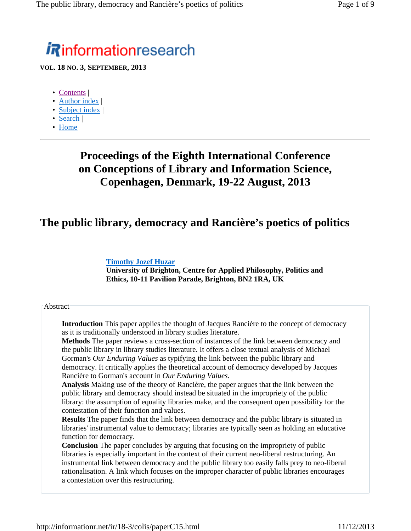# **Rinformationresearch**

**VOL. 18 NO. 3, SEPTEMBER, 2013**

- Contents |
- Author index |
- Subject index |
- Search |
- Home

# **Proceedings of the Eighth International Conference on Conceptions of Library and Information Science, Copenhagen, Denmark, 19-22 August, 2013**

### **The public library, democracy and Rancière's poetics of politics**

### **Timothy Jozef Huzar**

**University of Brighton, Centre for Applied Philosophy, Politics and Ethics, 10-11 Pavilion Parade, Brighton, BN2 1RA, UK**

### Abstract

**Introduction** This paper applies the thought of Jacques Rancière to the concept of democracy as it is traditionally understood in library studies literature.

**Methods** The paper reviews a cross-section of instances of the link between democracy and the public library in library studies literature. It offers a close textual analysis of Michael Gorman's *Our Enduring Values* as typifying the link between the public library and democracy. It critically applies the theoretical account of democracy developed by Jacques Rancière to Gorman's account in *Our Enduring Values*.

**Analysis** Making use of the theory of Rancière, the paper argues that the link between the public library and democracy should instead be situated in the impropriety of the public library: the assumption of equality libraries make, and the consequent open possibility for the contestation of their function and values.

**Results** The paper finds that the link between democracy and the public library is situated in libraries' instrumental value to democracy; libraries are typically seen as holding an educative function for democracy.

**Conclusion** The paper concludes by arguing that focusing on the impropriety of public libraries is especially important in the context of their current neo-liberal restructuring. An instrumental link between democracy and the public library too easily falls prey to neo-liberal rationalisation. A link which focuses on the improper character of public libraries encourages a contestation over this restructuring.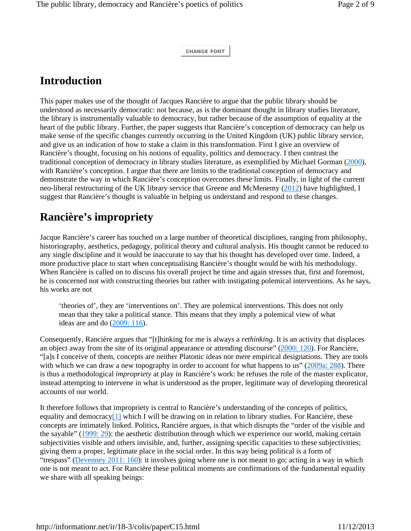**CHANGE FONT**

## **Introduction**

This paper makes use of the thought of Jacques Rancière to argue that the public library should be understood as necessarily democratic: not because, as is the dominant thought in library studies literature, the library is instrumentally valuable to democracy, but rather because of the assumption of equality at the heart of the public library. Further, the paper suggests that Rancière's conception of democracy can help us make sense of the specific changes currently occurring in the United Kingdom (UK) public library service, and give us an indication of how to stake a claim in this transformation. First I give an overview of Rancière's thought, focusing on his notions of equality, politics and democracy. I then contrast the traditional conception of democracy in library studies literature, as exemplified by Michael Gorman (2000), with Rancière's conception. I argue that there are limits to the traditional conception of democracy and demonstrate the way in which Rancière's conception overcomes these limits. Finally, in light of the current neo-liberal restructuring of the UK library service that Greene and McMenemy (2012) have highlighted, I suggest that Rancière's thought is valuable in helping us understand and respond to these changes.

# **Rancière's impropriety**

Jacque Rancière's career has touched on a large number of theoretical disciplines, ranging from philosophy, historiography, aesthetics, pedagogy, political theory and cultural analysis. His thought cannot be reduced to any single discipline and it would be inaccurate to say that his thought has developed over time. Indeed, a more productive place to start when conceptualising Rancière's thought would be with his methodology. When Rancière is called on to discuss his overall project he time and again stresses that, first and foremost, he is concerned not with constructing theories but rather with instigating polemical interventions. As he says, his works are not

'theories of', they are 'interventions on'. They are polemical interventions. This does not only mean that they take a political stance. This means that they imply a polemical view of what ideas are and do (2009: 116).

Consequently, Rancière argues that "[t]hinking for me is always a *rethinking*. It is an activity that displaces an object away from the site of its original appearance or attending discourse" (2000: 120). For Rancière, "[a]s I conceive of them, concepts are neither Platonic ideas nor mere empirical designations. They are tools with which we can draw a new topography in order to account for what happens to us" (2009a: 288). There is thus a methodological *impropriety* at play in Rancière's work: he refuses the role of the master explicator, instead attempting to intervene in what is understood as the proper, legitimate way of developing theoretical accounts of our world.

It therefore follows that impropriety is central to Rancière's understanding of the concepts of politics, equality and democracy $[1]$  which I will be drawing on in relation to library studies. For Rancière, these concepts are intimately linked. Politics, Rancière argues, is that which disrupts the "order of the visible and the sayable" (1999: 29): the aesthetic distribution through which we experience our world, making certain subjectivities visible and others invisible, and, further, assigning specific capacities to these subjectivities; giving them a proper, legitimate place in the social order. In this way being political is a form of "trespass" (Devenney 2011: 160): it involves going where one is not meant to go; acting in a way in which one is not meant to act. For Rancière these political moments are confirmations of the fundamental equality we share with all speaking beings: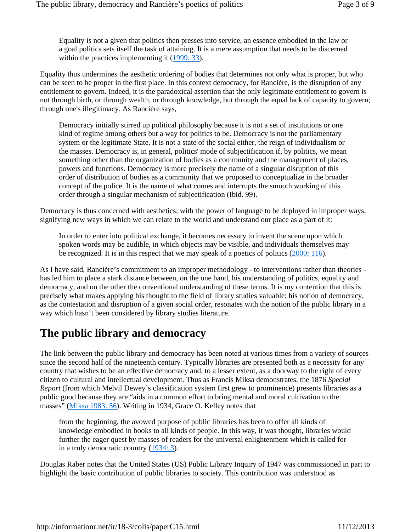Equality is not a given that politics then presses into service, an essence embodied in the law or a goal politics sets itself the task of attaining. It is a mere assumption that needs to be discerned within the practices implementing it (1999: 33).

Equality thus undermines the aesthetic ordering of bodies that determines not only what is proper, but who can be seen to be proper in the first place. In this context democracy, for Rancière, is the disruption of any entitlement to govern. Indeed, it is the paradoxical assertion that the only legitimate entitlement to govern is not through birth, or through wealth, or through knowledge, but through the equal lack of capacity to govern; through one's illegitimacy. As Rancière says,

Democracy initially stirred up political philosophy because it is not a set of institutions or one kind of regime among others but a way for politics to be. Democracy is not the parliamentary system or the legitimate State. It is not a state of the social either, the reign of individualism or the masses. Democracy is, in general, politics' mode of subjectification if, by politics, we mean something other than the organization of bodies as a community and the management of places, powers and functions. Democracy is more precisely the name of a singular disruption of this order of distribution of bodies as a community that we proposed to conceptualize in the broader concept of the police. It is the name of what comes and interrupts the smooth working of this order through a singular mechanism of subjectification (Ibid. 99).

Democracy is thus concerned with aesthetics; with the power of language to be deployed in improper ways, signifying new ways in which we can relate to the world and understand our place as a part of it:

In order to enter into political exchange, it becomes necessary to invent the scene upon which spoken words may be audible, in which objects may be visible, and individuals themselves may be recognized. It is in this respect that we may speak of a poetics of politics (2000: 116).

As I have said, Rancière's commitment to an improper methodology - to interventions rather than theories has led him to place a stark distance between, on the one hand, his understanding of politics, equality and democracy, and on the other the conventional understanding of these terms. It is my contention that this is precisely what makes applying his thought to the field of library studies valuable: his notion of democracy, as the contestation and disruption of a given social order, resonates with the notion of the public library in a way which hasn't been considered by library studies literature.

### **The public library and democracy**

The link between the public library and democracy has been noted at various times from a variety of sources since the second half of the nineteenth century. Typically libraries are presented both as a necessity for any country that wishes to be an effective democracy and, to a lesser extent, as a doorway to the right of every citizen to cultural and intellectual development. Thus as Francis Miksa demonstrates, the 1876 *Special Report* (from which Melvil Dewey's classification system first grew to prominence) presents libraries as a public good because they are "aids in a common effort to bring mental and moral cultivation to the masses" (Miksa 1983: 56). Writing in 1934, Grace O. Kelley notes that

from the beginning, the avowed purpose of public libraries has been to offer all kinds of knowledge embodied in books to all kinds of people. In this way, it was thought, libraries would further the eager quest by masses of readers for the universal enlightenment which is called for in a truly democratic country (1934: 3).

Douglas Raber notes that the United States (US) Public Library Inquiry of 1947 was commissioned in part to highlight the basic contribution of public libraries to society. This contribution was understood as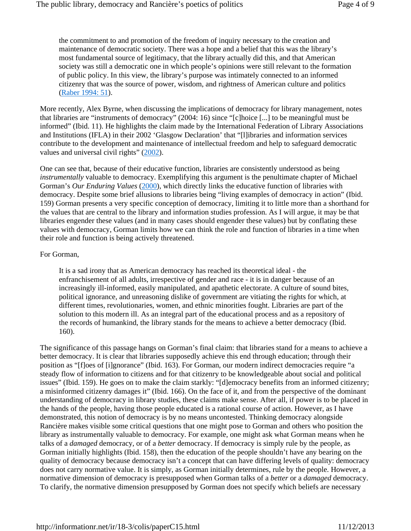the commitment to and promotion of the freedom of inquiry necessary to the creation and maintenance of democratic society. There was a hope and a belief that this was the library's most fundamental source of legitimacy, that the library actually did this, and that American society was still a democratic one in which people's opinions were still relevant to the formation of public policy. In this view, the library's purpose was intimately connected to an informed citizenry that was the source of power, wisdom, and rightness of American culture and politics (Raber 1994: 51).

More recently, Alex Byrne, when discussing the implications of democracy for library management, notes that libraries are "instruments of democracy" (2004: 16) since "[c]hoice [...] to be meaningful must be informed" (Ibid. 11). He highlights the claim made by the International Federation of Library Associations and Institutions (IFLA) in their 2002 'Glasgow Declaration' that "[l]ibraries and information services contribute to the development and maintenance of intellectual freedom and help to safeguard democratic values and universal civil rights" (2002).

One can see that, because of their educative function, libraries are consistently understood as being *instrumentally* valuable to democracy. Exemplifying this argument is the penultimate chapter of Michael Gorman's *Our Enduring Values* (2000), which directly links the educative function of libraries with democracy. Despite some brief allusions to libraries being "living examples of democracy in action" (Ibid. 159) Gorman presents a very specific conception of democracy, limiting it to little more than a shorthand for the values that are central to the library and information studies profession. As I will argue, it may be that libraries engender these values (and in many cases should engender these values) but by conflating these values with democracy, Gorman limits how we can think the role and function of libraries in a time when their role and function is being actively threatened.

#### For Gorman,

It is a sad irony that as American democracy has reached its theoretical ideal - the enfranchisement of all adults, irrespective of gender and race - it is in danger because of an increasingly ill-informed, easily manipulated, and apathetic electorate. A culture of sound bites, political ignorance, and unreasoning dislike of government are vitiating the rights for which, at different times, revolutionaries, women, and ethnic minorities fought. Libraries are part of the solution to this modern ill. As an integral part of the educational process and as a repository of the records of humankind, the library stands for the means to achieve a better democracy (Ibid. 160).

The significance of this passage hangs on Gorman's final claim: that libraries stand for a means to achieve a better democracy. It is clear that libraries supposedly achieve this end through education; through their position as "[f]oes of [i]gnorance" (Ibid. 163). For Gorman, our modern indirect democracies require "a steady flow of information to citizens and for that citizenry to be knowledgeable about social and political issues" (Ibid. 159). He goes on to make the claim starkly: "[d]emocracy benefits from an informed citizenry; a misinformed citizenry damages it" (Ibid. 166). On the face of it, and from the perspective of the dominant understanding of democracy in library studies, these claims make sense. After all, if power is to be placed in the hands of the people, having those people educated is a rational course of action. However, as I have demonstrated, this notion of democracy is by no means uncontested. Thinking democracy alongside Rancière makes visible some critical questions that one might pose to Gorman and others who position the library as instrumentally valuable to democracy. For example, one might ask what Gorman means when he talks of a *damaged* democracy, or of a *better* democracy. If democracy is simply rule by the people, as Gorman initially highlights (Ibid. 158), then the education of the people shouldn't have any bearing on the quality of democracy because democracy isn't a concept that can have differing levels of quality: democracy does not carry normative value. It is simply, as Gorman initially determines, rule by the people. However, a normative dimension of democracy is presupposed when Gorman talks of a *better* or a *damaged* democracy. To clarify, the normative dimension presupposed by Gorman does not specify which beliefs are necessary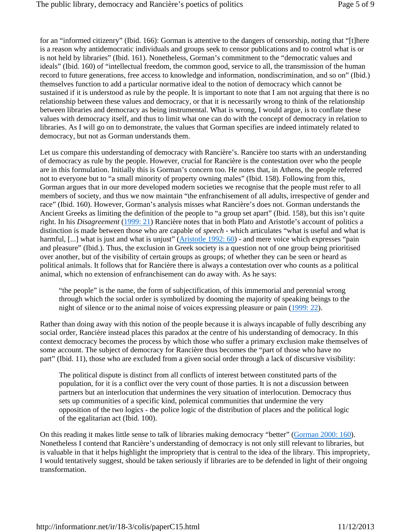for an "informed citizenry" (Ibid. 166): Gorman is attentive to the dangers of censorship, noting that "[t]here is a reason why antidemocratic individuals and groups seek to censor publications and to control what is or is not held by libraries" (Ibid. 161). Nonetheless, Gorman's commitment to the "democratic values and ideals" (Ibid. 160) of "intellectual freedom, the common good, service to all, the transmission of the human record to future generations, free access to knowledge and information, nondiscrimination, and so on" (Ibid.) themselves function to add a particular normative ideal to the notion of democracy which cannot be sustained if it is understood as rule by the people. It is important to note that I am not arguing that there is no relationship between these values and democracy, or that it is necessarily wrong to think of the relationship between libraries and democracy as being instrumental. What is wrong, I would argue, is to conflate these values with democracy itself, and thus to limit what one can do with the concept of democracy in relation to libraries. As I will go on to demonstrate, the values that Gorman specifies are indeed intimately related to democracy, but not as Gorman understands them.

Let us compare this understanding of democracy with Rancière's. Rancière too starts with an understanding of democracy as rule by the people. However, crucial for Rancière is the contestation over who the people are in this formulation. Initially this is Gorman's concern too. He notes that, in Athens, the people referred not to everyone but to "a small minority of property owning males" (Ibid. 158). Following from this, Gorman argues that in our more developed modern societies we recognise that the people must refer to all members of society, and thus we now maintain "the enfranchisement of all adults, irrespective of gender and race" (Ibid. 160). However, Gorman's analysis misses what Rancière's does not. Gorman understands the Ancient Greeks as limiting the definition of the people to "a group set apart" (Ibid. 158), but this isn't quite right. In his *Disagreement* (1999: 21) Rancière notes that in both Plato and Aristotle's account of politics a distinction is made between those who are capable of *speech* - which articulates "what is useful and what is harmful, [...] what is just and what is unjust" (Aristotle 1992: 60) - and mere voice which expresses "pain and pleasure" (Ibid.). Thus, the exclusion in Greek society is a question not of one group being prioritised over another, but of the visibility of certain groups as groups; of whether they can be seen or heard as political animals. It follows that for Rancière there is always a contestation over who counts as a political animal, which no extension of enfranchisement can do away with. As he says:

"the people" is the name, the form of subjectification, of this immemorial and perennial wrong through which the social order is symbolized by dooming the majority of speaking beings to the night of silence or to the animal noise of voices expressing pleasure or pain (1999: 22).

Rather than doing away with this notion of the people because it is always incapable of fully describing any social order, Rancière instead places this paradox at the centre of his understanding of democracy. In this context democracy becomes the process by which those who suffer a primary exclusion make themselves of some account. The subject of democracy for Rancière thus becomes the "part of those who have no part" (Ibid. 11), those who are excluded from a given social order through a lack of discursive visibility:

The political dispute is distinct from all conflicts of interest between constituted parts of the population, for it is a conflict over the very count of those parties. It is not a discussion between partners but an interlocution that undermines the very situation of interlocution. Democracy thus sets up communities of a specific kind, polemical communities that undermine the very opposition of the two logics - the police logic of the distribution of places and the political logic of the egalitarian act (Ibid. 100).

On this reading it makes little sense to talk of libraries making democracy "better" (Gorman 2000: 160). Nonetheless I contend that Rancière's understanding of democracy is not only still relevant to libraries, but is valuable in that it helps highlight the impropriety that is central to the idea of the library. This impropriety, I would tentatively suggest, should be taken seriously if libraries are to be defended in light of their ongoing transformation.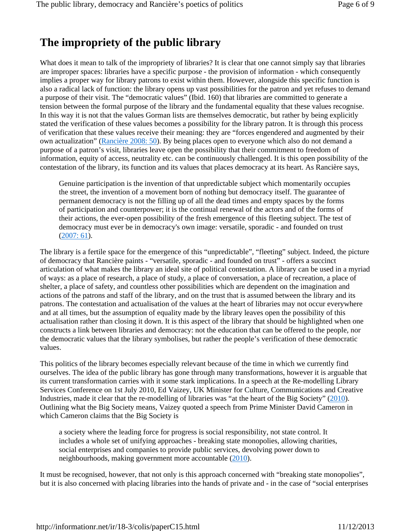# **The impropriety of the public library**

What does it mean to talk of the impropriety of libraries? It is clear that one cannot simply say that libraries are improper spaces: libraries have a specific purpose - the provision of information - which consequently implies a proper way for library patrons to exist within them. However, alongside this specific function is also a radical lack of function: the library opens up vast possibilities for the patron and yet refuses to demand a purpose of their visit. The "democratic values" (Ibid. 160) that libraries are committed to generate a tension between the formal purpose of the library and the fundamental equality that these values recognise. In this way it is not that the values Gorman lists are themselves democratic, but rather by being explicitly stated the verification of these values becomes a possibility for the library patron. It is through this process of verification that these values receive their meaning: they are "forces engendered and augmented by their own actualization" (Rancière 2008: 50). By being places open to everyone which also do not demand a purpose of a patron's visit, libraries leave open the possibility that their commitment to freedom of information, equity of access, neutrality etc. can be continuously challenged. It is this open possibility of the contestation of the library, its function and its values that places democracy at its heart. As Rancière says,

Genuine participation is the invention of that unpredictable subject which momentarily occupies the street, the invention of a movement born of nothing but democracy itself. The guarantee of permanent democracy is not the filling up of all the dead times and empty spaces by the forms of participation and counterpower; it is the continual renewal of the actors and of the forms of their actions, the ever-open possibility of the fresh emergence of this fleeting subject. The test of democracy must ever be in democracy's own image: versatile, sporadic - and founded on trust (2007: 61).

The library is a fertile space for the emergence of this "unpredictable", "fleeting" subject. Indeed, the picture of democracy that Rancière paints - "versatile, sporadic - and founded on trust" - offers a succinct articulation of what makes the library an ideal site of political contestation. A library can be used in a myriad of ways: as a place of research, a place of study, a place of conversation, a place of recreation, a place of shelter, a place of safety, and countless other possibilities which are dependent on the imagination and actions of the patrons and staff of the library, and on the trust that is assumed between the library and its patrons. The contestation and actualisation of the values at the heart of libraries may not occur everywhere and at all times, but the assumption of equality made by the library leaves open the possibility of this actualisation rather than closing it down. It is this aspect of the library that should be highlighted when one constructs a link between libraries and democracy: not the education that can be offered to the people, nor the democratic values that the library symbolises, but rather the people's verification of these democratic values.

This politics of the library becomes especially relevant because of the time in which we currently find ourselves. The idea of the public library has gone through many transformations, however it is arguable that its current transformation carries with it some stark implications. In a speech at the Re-modelling Library Services Conference on 1st July 2010, Ed Vaizey, UK Minister for Culture, Communications and Creative Industries, made it clear that the re-modelling of libraries was "at the heart of the Big Society" (2010). Outlining what the Big Society means, Vaizey quoted a speech from Prime Minister David Cameron in which Cameron claims that the Big Society is

a society where the leading force for progress is social responsibility, not state control. It includes a whole set of unifying approaches - breaking state monopolies, allowing charities, social enterprises and companies to provide public services, devolving power down to neighbourhoods, making government more accountable (2010).

It must be recognised, however, that not only is this approach concerned with "breaking state monopolies", but it is also concerned with placing libraries into the hands of private and - in the case of "social enterprises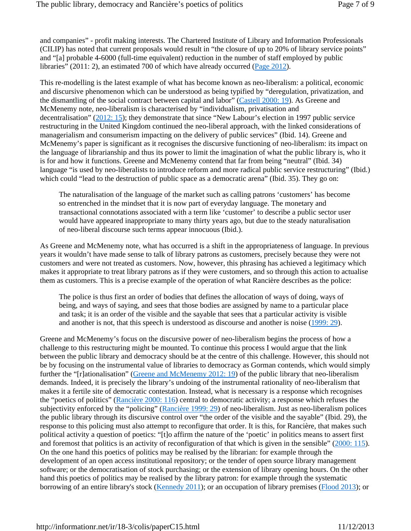and companies" - profit making interests. The Chartered Institute of Library and Information Professionals (CILIP) has noted that current proposals would result in "the closure of up to 20% of library service points" and "[a] probable 4-6000 (full-time equivalent) reduction in the number of staff employed by public libraries" (2011: 2), an estimated 700 of which have already occurred (Page 2012).

This re-modelling is the latest example of what has become known as neo-liberalism: a political, economic and discursive phenomenon which can be understood as being typified by "deregulation, privatization, and the dismantling of the social contract between capital and labor" (Castell 2000: 19). As Greene and McMenemy note, neo-liberalism is characterised by "individualism, privatisation and decentralisation" (2012: 15); they demonstrate that since "New Labour's election in 1997 public service restructuring in the United Kingdom continued the neo-liberal approach, with the linked considerations of managerialism and consumerism impacting on the delivery of public services" (Ibid. 14). Greene and McMenemy's paper is significant as it recognises the discursive functioning of neo-liberalism: its impact on the language of librarianship and thus its power to limit the imagination of what the public library is, who it is for and how it functions. Greene and McMenemy contend that far from being "neutral" (Ibid. 34) language "is used by neo-liberalists to introduce reform and more radical public service restructuring" (Ibid.) which could "lead to the destruction of public space as a democratic arena" (Ibid. 35). They go on:

The naturalisation of the language of the market such as calling patrons 'customers' has become so entrenched in the mindset that it is now part of everyday language. The monetary and transactional connotations associated with a term like 'customer' to describe a public sector user would have appeared inappropriate to many thirty years ago, but due to the steady naturalisation of neo-liberal discourse such terms appear innocuous (Ibid.).

As Greene and McMenemy note, what has occurred is a shift in the appropriateness of language. In previous years it wouldn't have made sense to talk of library patrons as customers, precisely because they were not customers and were not treated as customers. Now, however, this phrasing has achieved a legitimacy which makes it appropriate to treat library patrons as if they were customers, and so through this action to actualise them as customers. This is a precise example of the operation of what Rancière describes as the police:

The police is thus first an order of bodies that defines the allocation of ways of doing, ways of being, and ways of saying, and sees that those bodies are assigned by name to a particular place and task; it is an order of the visible and the sayable that sees that a particular activity is visible and another is not, that this speech is understood as discourse and another is noise (1999: 29).

Greene and McMenemy's focus on the discursive power of neo-liberalism begins the process of how a challenge to this restructuring might be mounted. To continue this process I would argue that the link between the public library and democracy should be at the centre of this challenge. However, this should not be by focusing on the instrumental value of libraries to democracy as Gorman contends, which would simply further the "[r]ationalisation" (Greene and McMenemy 2012: 19) of the public library that neo-liberalism demands. Indeed, it is precisely the library's undoing of the instrumental rationality of neo-liberalism that makes it a fertile site of democratic contestation. Instead, what is necessary is a response which recognises the "poetics of politics" (Rancière 2000: 116) central to democratic activity; a response which refuses the subjectivity enforced by the "policing" (Rancière 1999: 29) of neo-liberalism. Just as neo-liberalism polices the public library through its discursive control over "the order of the visible and the sayable" (Ibid. 29), the response to this policing must also attempt to reconfigure that order. It is this, for Rancière, that makes such political activity a question of poetics: "[t]o affirm the nature of the 'poetic' in politics means to assert first and foremost that politics is an activity of reconfiguration of that which is given in the sensible" (2000: 115). On the one hand this poetics of politics may be realised by the librarian: for example through the development of an open access institutional repository; or the tender of open source library management software; or the democratisation of stock purchasing; or the extension of library opening hours. On the other hand this poetics of politics may be realised by the library patron: for example through the systematic borrowing of an entire library's stock (Kennedy 2011); or an occupation of library premises (Flood 2013); or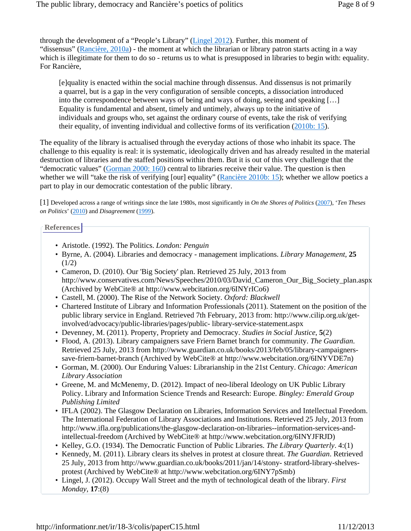through the development of a "People's Library" (Lingel 2012). Further, this moment of "dissensus" (Rancière,  $2010a$ ) - the moment at which the librarian or library patron starts acting in a way which is illegitimate for them to do so - returns us to what is presupposed in libraries to begin with: equality. For Rancière,

[e]quality is enacted within the social machine through dissensus. And dissensus is not primarily a quarrel, but is a gap in the very configuration of sensible concepts, a dissociation introduced into the correspondence between ways of being and ways of doing, seeing and speaking […] Equality is fundamental and absent, timely and untimely, always up to the initiative of individuals and groups who, set against the ordinary course of events, take the risk of verifying their equality, of inventing individual and collective forms of its verification (2010b: 15).

The equality of the library is actualised through the everyday actions of those who inhabit its space. The challenge to this equality is real: it is systematic, ideologically driven and has already resulted in the material destruction of libraries and the staffed positions within them. But it is out of this very challenge that the "democratic values" (Gorman 2000: 160) central to libraries receive their value. The question is then whether we will "take the risk of verifying [our] equality" (Rancière 2010b: 15); whether we allow poetics a part to play in our democratic contestation of the public library.

[1] Developed across a range of writings since the late 1980s, most significantly in *On the Shores of Politics* (2007), '*Ten Theses on Politics*' (2010) and *Disagreement* (1999).

#### **References**

- Aristotle. (1992). The Politics. *London: Penguin*
- Byrne, A. (2004). Libraries and democracy management implications. *Library Management*, **25**  $(1/2)$
- Cameron, D. (2010). Our 'Big Society' plan. Retrieved 25 July, 2013 from http://www.conservatives.com/News/Speeches/2010/03/David\_Cameron\_Our\_Big\_Society\_plan.aspx (Archived by WebCite® at http://www.webcitation.org/6INYrICo6)
- Castell, M. (2000). The Rise of the Network Society. *Oxford: Blackwell*
- Chartered Institute of Library and Information Professionals (2011). Statement on the position of the public library service in England. Retrieved 7th February, 2013 from: http://www.cilip.org.uk/getinvolved/advocacy/public-libraries/pages/public- library-service-statement.aspx
- Devenney, M. (2011). Property, Propriety and Democracy. *Studies in Social Justice*, **5**(2)
- Flood, A. (2013). Library campaigners save Friern Barnet branch for community. *The Guardian*. Retrieved 25 July, 2013 from http://www.guardian.co.uk/books/2013/feb/05/library-campaignerssave-friern-barnet-branch (Archived by WebCite® at http://www.webcitation.org/6INYVDE7n)
- Gorman, M. (2000). Our Enduring Values: Librarianship in the 21st Century. *Chicago: American Library Association*
- Greene, M. and McMenemy, D. (2012). Impact of neo-liberal Ideology on UK Public Library Policy. Library and Information Science Trends and Research: Europe. *Bingley: Emerald Group Publishing Limited*
- IFLA (2002). The Glasgow Declaration on Libraries, Information Services and Intellectual Freedom. The International Federation of Library Associations and Institutions. Retrieved 25 July, 2013 from http://www.ifla.org/publications/the-glasgow-declaration-on-libraries--information-services-andintellectual-freedom (Archived by WebCite® at http://www.webcitation.org/6INYJFRJD)
- Kelley, G.O. (1934). The Democratic Function of Public Libraries. *The Library Quarterly*. 4:(1)
- Kennedy, M. (2011). Library clears its shelves in protest at closure threat. *The Guardian*. Retrieved 25 July, 2013 from http://www.guardian.co.uk/books/2011/jan/14/stony- stratford-library-shelvesprotest (Archived by WebCite® at http://www.webcitation.org/6INY7pSmb)
- Lingel, J. (2012). Occupy Wall Street and the myth of technological death of the library. *First Monday*, **17**:(8)